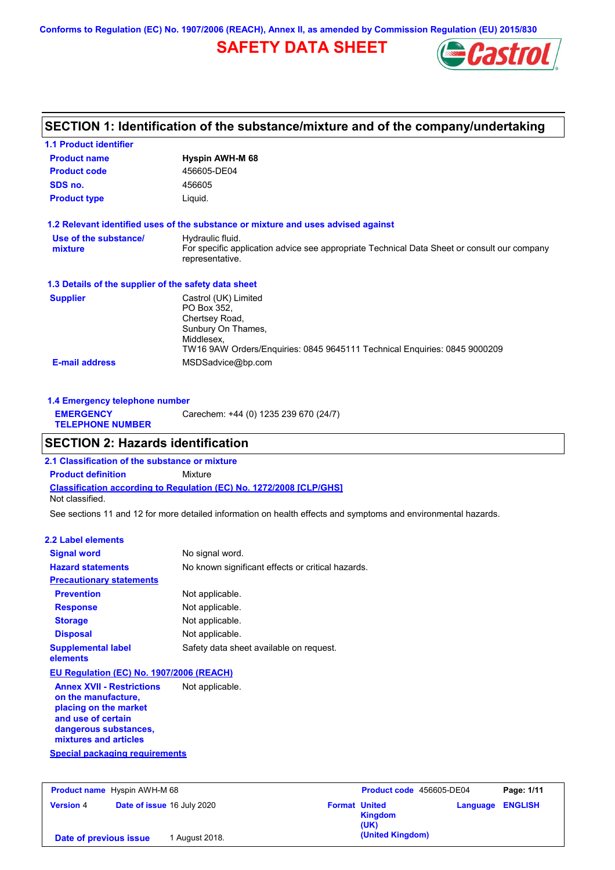**Conforms to Regulation (EC) No. 1907/2006 (REACH), Annex II, as amended by Commission Regulation (EU) 2015/830**

## **SAFETY DATA SHEET**



## **SECTION 1: Identification of the substance/mixture and of the company/undertaking**

| <b>1.1 Product identifier</b>                        |                                                                                                                                                                        |
|------------------------------------------------------|------------------------------------------------------------------------------------------------------------------------------------------------------------------------|
| <b>Product name</b>                                  | <b>Hyspin AWH-M 68</b>                                                                                                                                                 |
| <b>Product code</b>                                  | 456605-DE04                                                                                                                                                            |
| SDS no.                                              | 456605                                                                                                                                                                 |
| <b>Product type</b>                                  | Liquid.                                                                                                                                                                |
|                                                      | 1.2 Relevant identified uses of the substance or mixture and uses advised against                                                                                      |
| Use of the substance/<br>mixture                     | Hydraulic fluid.<br>For specific application advice see appropriate Technical Data Sheet or consult our company<br>representative.                                     |
| 1.3 Details of the supplier of the safety data sheet |                                                                                                                                                                        |
| <b>Supplier</b>                                      | Castrol (UK) Limited<br>PO Box 352.<br>Chertsey Road,<br>Sunbury On Thames,<br>Middlesex.<br>TW16 9AW Orders/Enguiries: 0845 9645111 Technical Enguiries: 0845 9000209 |
| <b>E-mail address</b>                                | MSDSadvice@bp.com                                                                                                                                                      |

| 1.4 Emergency telephone number              |                                       |  |
|---------------------------------------------|---------------------------------------|--|
| <b>EMERGENCY</b><br><b>TELEPHONE NUMBER</b> | Carechem: +44 (0) 1235 239 670 (24/7) |  |

## **SECTION 2: Hazards identification**

**Classification according to Regulation (EC) No. 1272/2008 [CLP/GHS] 2.1 Classification of the substance or mixture Product definition** Mixture Not classified.

See sections 11 and 12 for more detailed information on health effects and symptoms and environmental hazards.

### **2.2 Label elements**

| <b>Signal word</b>                                                                                                                                       | No signal word.                                   |
|----------------------------------------------------------------------------------------------------------------------------------------------------------|---------------------------------------------------|
| <b>Hazard statements</b>                                                                                                                                 | No known significant effects or critical hazards. |
| <b>Precautionary statements</b>                                                                                                                          |                                                   |
| <b>Prevention</b>                                                                                                                                        | Not applicable.                                   |
| <b>Response</b>                                                                                                                                          | Not applicable.                                   |
| <b>Storage</b>                                                                                                                                           | Not applicable.                                   |
| <b>Disposal</b>                                                                                                                                          | Not applicable.                                   |
| <b>Supplemental label</b><br>elements                                                                                                                    | Safety data sheet available on request.           |
| EU Regulation (EC) No. 1907/2006 (REACH)                                                                                                                 |                                                   |
| <b>Annex XVII - Restrictions</b><br>on the manufacture,<br>placing on the market<br>and use of certain<br>dangerous substances,<br>mixtures and articles | Not applicable.                                   |
| Special packaging requirements                                                                                                                           |                                                   |

| <b>Product name</b> Hyspin AWH-M 68 |                            | Product code 456605-DE04 |                                         | Page: 1/11              |  |
|-------------------------------------|----------------------------|--------------------------|-----------------------------------------|-------------------------|--|
| <b>Version 4</b>                    | Date of issue 16 July 2020 |                          | <b>Format United</b><br>Kingdom<br>(UK) | <b>Language ENGLISH</b> |  |
| Date of previous issue              | August 2018.               |                          | (United Kingdom)                        |                         |  |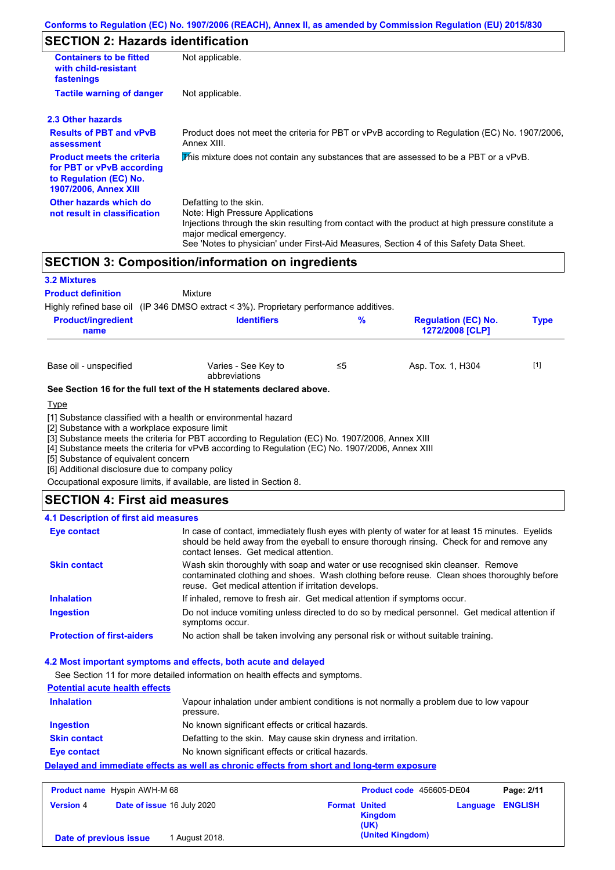## **SECTION 2: Hazards identification**

| <b>Containers to be fitted</b><br>with child-resistant<br>fastenings                                                     | Not applicable.                                                                                                                                                                                                                                                                        |
|--------------------------------------------------------------------------------------------------------------------------|----------------------------------------------------------------------------------------------------------------------------------------------------------------------------------------------------------------------------------------------------------------------------------------|
| <b>Tactile warning of danger</b>                                                                                         | Not applicable.                                                                                                                                                                                                                                                                        |
| 2.3 Other hazards                                                                                                        |                                                                                                                                                                                                                                                                                        |
| <b>Results of PBT and vPvB</b><br>assessment                                                                             | Product does not meet the criteria for PBT or vPvB according to Regulation (EC) No. 1907/2006,<br>Annex XIII.                                                                                                                                                                          |
| <b>Product meets the criteria</b><br>for PBT or vPvB according<br>to Regulation (EC) No.<br><b>1907/2006, Annex XIII</b> | This mixture does not contain any substances that are assessed to be a PBT or a vPvB.                                                                                                                                                                                                  |
| Other hazards which do<br>not result in classification                                                                   | Defatting to the skin.<br>Note: High Pressure Applications<br>Injections through the skin resulting from contact with the product at high pressure constitute a<br>major medical emergency.<br>See 'Notes to physician' under First-Aid Measures, Section 4 of this Safety Data Sheet. |

## **SECTION 3: Composition/information on ingredients**

| <b>3.2 Mixtures</b>                              |                                                                                        |    |                                               |             |
|--------------------------------------------------|----------------------------------------------------------------------------------------|----|-----------------------------------------------|-------------|
| <b>Product definition</b>                        | Mixture                                                                                |    |                                               |             |
|                                                  | Highly refined base oil (IP 346 DMSO extract < 3%). Proprietary performance additives. |    |                                               |             |
| <b>Product/ingredient</b><br>name                | <b>Identifiers</b>                                                                     | %  | <b>Regulation (EC) No.</b><br>1272/2008 [CLP] | <b>Type</b> |
| Base oil - unspecified                           | Varies - See Key to<br>abbreviations                                                   | ≤5 | Asp. Tox. 1, H304                             | $[1]$       |
|                                                  | See Section 16 for the full text of the H statements declared above.                   |    |                                               |             |
| <u>Type</u>                                      |                                                                                        |    |                                               |             |
| FOI Ordentenes mille a maghalassa sugasma ligall | [1] Substance classified with a health or environmental hazard                         |    |                                               |             |

[2] Substance with a workplace exposure limit

[3] Substance meets the criteria for PBT according to Regulation (EC) No. 1907/2006, Annex XIII

[4] Substance meets the criteria for vPvB according to Regulation (EC) No. 1907/2006, Annex XIII

[5] Substance of equivalent concern

[6] Additional disclosure due to company policy

Occupational exposure limits, if available, are listed in Section 8.

### **SECTION 4: First aid measures**

### **4.1 Description of first aid measures**

| Eye contact                       | In case of contact, immediately flush eyes with plenty of water for at least 15 minutes. Eyelids<br>should be held away from the eyeball to ensure thorough rinsing. Check for and remove any<br>contact lenses. Get medical attention. |
|-----------------------------------|-----------------------------------------------------------------------------------------------------------------------------------------------------------------------------------------------------------------------------------------|
| <b>Skin contact</b>               | Wash skin thoroughly with soap and water or use recognised skin cleanser. Remove<br>contaminated clothing and shoes. Wash clothing before reuse. Clean shoes thoroughly before<br>reuse. Get medical attention if irritation develops.  |
| <b>Inhalation</b>                 | If inhaled, remove to fresh air. Get medical attention if symptoms occur.                                                                                                                                                               |
| <b>Ingestion</b>                  | Do not induce vomiting unless directed to do so by medical personnel. Get medical attention if<br>symptoms occur.                                                                                                                       |
| <b>Protection of first-aiders</b> | No action shall be taken involving any personal risk or without suitable training.                                                                                                                                                      |

### **4.2 Most important symptoms and effects, both acute and delayed**

See Section 11 for more detailed information on health effects and symptoms.

| <b>Potential acute health effects</b> |                                                                                                     |
|---------------------------------------|-----------------------------------------------------------------------------------------------------|
| <b>Inhalation</b>                     | Vapour inhalation under ambient conditions is not normally a problem due to low vapour<br>pressure. |
| <b>Ingestion</b>                      | No known significant effects or critical hazards.                                                   |
| <b>Skin contact</b>                   | Defatting to the skin. May cause skin dryness and irritation.                                       |
| Eye contact                           | No known significant effects or critical hazards.                                                   |
|                                       | Delayed and immediate effects as well as chronic effects from short and long-term exposure          |

| <b>Product name</b> Hyspin AWH-M 68 |                                   | Product code 456605-DE04 |                        | Page: 2/11              |  |
|-------------------------------------|-----------------------------------|--------------------------|------------------------|-------------------------|--|
| <b>Version 4</b>                    | <b>Date of issue 16 July 2020</b> | <b>Format United</b>     | <b>Kingdom</b><br>(UK) | <b>Language ENGLISH</b> |  |
| Date of previous issue              | 1 August 2018.                    |                          | (United Kingdom)       |                         |  |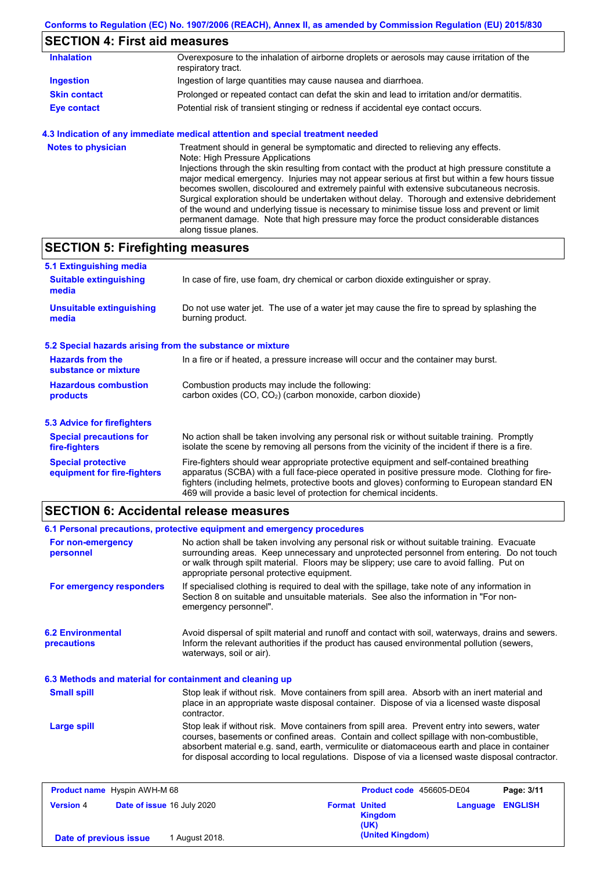## **SECTION 4: First aid measures**

| <b>Inhalation</b>   | Overexposure to the inhalation of airborne droplets or aerosols may cause irritation of the<br>respiratory tract. |
|---------------------|-------------------------------------------------------------------------------------------------------------------|
| <b>Ingestion</b>    | Ingestion of large quantities may cause nausea and diarrhoea.                                                     |
| <b>Skin contact</b> | Prolonged or repeated contact can defat the skin and lead to irritation and/or dermatitis.                        |
| <b>Eye contact</b>  | Potential risk of transient stinging or redness if accidental eye contact occurs.                                 |

### **4.3 Indication of any immediate medical attention and special treatment needed**

| <b>Notes to physician</b> | Treatment should in general be symptomatic and directed to relieving any effects.<br>Note: High Pressure Applications<br>Injections through the skin resulting from contact with the product at high pressure constitute a<br>major medical emergency. Injuries may not appear serious at first but within a few hours tissue<br>becomes swollen, discoloured and extremely painful with extensive subcutaneous necrosis.<br>Surgical exploration should be undertaken without delay. Thorough and extensive debridement<br>of the wound and underlying tissue is necessary to minimise tissue loss and prevent or limit<br>permanent damage. Note that high pressure may force the product considerable distances |
|---------------------------|--------------------------------------------------------------------------------------------------------------------------------------------------------------------------------------------------------------------------------------------------------------------------------------------------------------------------------------------------------------------------------------------------------------------------------------------------------------------------------------------------------------------------------------------------------------------------------------------------------------------------------------------------------------------------------------------------------------------|
|                           | along tissue planes.                                                                                                                                                                                                                                                                                                                                                                                                                                                                                                                                                                                                                                                                                               |

# **SECTION 5: Firefighting measures**

| 5.1 Extinguishing media                                   |                                                                                                                                                                                                                                                                                                                                                                   |  |  |  |
|-----------------------------------------------------------|-------------------------------------------------------------------------------------------------------------------------------------------------------------------------------------------------------------------------------------------------------------------------------------------------------------------------------------------------------------------|--|--|--|
| <b>Suitable extinguishing</b><br>media                    | In case of fire, use foam, dry chemical or carbon dioxide extinguisher or spray.                                                                                                                                                                                                                                                                                  |  |  |  |
| <b>Unsuitable extinguishing</b><br>media                  | Do not use water jet. The use of a water jet may cause the fire to spread by splashing the<br>burning product.                                                                                                                                                                                                                                                    |  |  |  |
| 5.2 Special hazards arising from the substance or mixture |                                                                                                                                                                                                                                                                                                                                                                   |  |  |  |
| <b>Hazards from the</b><br>substance or mixture           | In a fire or if heated, a pressure increase will occur and the container may burst.                                                                                                                                                                                                                                                                               |  |  |  |
| <b>Hazardous combustion</b><br>products                   | Combustion products may include the following:<br>carbon oxides $(CO, CO2)$ (carbon monoxide, carbon dioxide)                                                                                                                                                                                                                                                     |  |  |  |
| 5.3 Advice for firefighters                               |                                                                                                                                                                                                                                                                                                                                                                   |  |  |  |
| <b>Special precautions for</b><br>fire-fighters           | No action shall be taken involving any personal risk or without suitable training. Promptly<br>isolate the scene by removing all persons from the vicinity of the incident if there is a fire.                                                                                                                                                                    |  |  |  |
| <b>Special protective</b><br>equipment for fire-fighters  | Fire-fighters should wear appropriate protective equipment and self-contained breathing<br>apparatus (SCBA) with a full face-piece operated in positive pressure mode. Clothing for fire-<br>fighters (including helmets, protective boots and gloves) conforming to European standard EN<br>469 will provide a basic level of protection for chemical incidents. |  |  |  |

## **SECTION 6: Accidental release measures**

|                                                          | 6.1 Personal precautions, protective equipment and emergency procedures                                                                                                                                                                                                                                                                                                                        |  |  |  |
|----------------------------------------------------------|------------------------------------------------------------------------------------------------------------------------------------------------------------------------------------------------------------------------------------------------------------------------------------------------------------------------------------------------------------------------------------------------|--|--|--|
|                                                          |                                                                                                                                                                                                                                                                                                                                                                                                |  |  |  |
| For non-emergency<br>personnel                           | No action shall be taken involving any personal risk or without suitable training. Evacuate<br>surrounding areas. Keep unnecessary and unprotected personnel from entering. Do not touch<br>or walk through spilt material. Floors may be slippery; use care to avoid falling. Put on<br>appropriate personal protective equipment.                                                            |  |  |  |
| For emergency responders                                 | If specialised clothing is required to deal with the spillage, take note of any information in<br>Section 8 on suitable and unsuitable materials. See also the information in "For non-<br>emergency personnel".                                                                                                                                                                               |  |  |  |
| <b>6.2 Environmental</b><br>precautions                  | Avoid dispersal of spilt material and runoff and contact with soil, waterways, drains and sewers.<br>Inform the relevant authorities if the product has caused environmental pollution (sewers,<br>waterways, soil or air).                                                                                                                                                                    |  |  |  |
| 6.3 Methods and material for containment and cleaning up |                                                                                                                                                                                                                                                                                                                                                                                                |  |  |  |
| <b>Small spill</b>                                       | Stop leak if without risk. Move containers from spill area. Absorb with an inert material and<br>place in an appropriate waste disposal container. Dispose of via a licensed waste disposal<br>contractor.                                                                                                                                                                                     |  |  |  |
| <b>Large spill</b>                                       | Stop leak if without risk. Move containers from spill area. Prevent entry into sewers, water<br>courses, basements or confined areas. Contain and collect spillage with non-combustible,<br>absorbent material e.g. sand, earth, vermiculite or diatomaceous earth and place in container<br>for disposal according to local regulations. Dispose of via a licensed waste disposal contractor. |  |  |  |
|                                                          |                                                                                                                                                                                                                                                                                                                                                                                                |  |  |  |

| <b>Product name</b> Hyspin AWH-M 68 |                            |                |                      | Product code 456605-DE04 | Page: 3/11              |
|-------------------------------------|----------------------------|----------------|----------------------|--------------------------|-------------------------|
| <b>Version 4</b>                    | Date of issue 16 July 2020 |                | <b>Format United</b> | <b>Kingdom</b><br>(UK)   | <b>Language ENGLISH</b> |
| Date of previous issue              |                            | 1 August 2018. |                      | (United Kingdom)         |                         |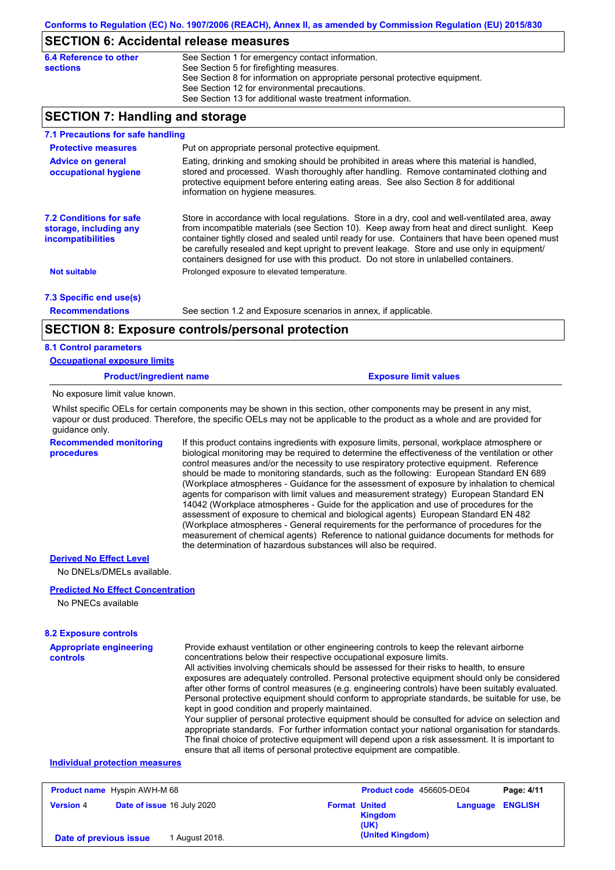## **SECTION 6: Accidental release measures**

| 6.4 Reference to other | See Section 1 for emergency contact information.                            |
|------------------------|-----------------------------------------------------------------------------|
| sections               | See Section 5 for firefighting measures.                                    |
|                        | See Section 8 for information on appropriate personal protective equipment. |
|                        | See Section 12 for environmental precautions.                               |
|                        | See Section 13 for additional waste treatment information.                  |

## **SECTION 7: Handling and storage**

| 7.1 Precautions for safe handling                                             |                                                                                                                                                                                                                                                                                                                                                                                                                                                                                          |
|-------------------------------------------------------------------------------|------------------------------------------------------------------------------------------------------------------------------------------------------------------------------------------------------------------------------------------------------------------------------------------------------------------------------------------------------------------------------------------------------------------------------------------------------------------------------------------|
| <b>Protective measures</b>                                                    | Put on appropriate personal protective equipment.                                                                                                                                                                                                                                                                                                                                                                                                                                        |
| <b>Advice on general</b><br>occupational hygiene                              | Eating, drinking and smoking should be prohibited in areas where this material is handled,<br>stored and processed. Wash thoroughly after handling. Remove contaminated clothing and<br>protective equipment before entering eating areas. See also Section 8 for additional<br>information on hygiene measures.                                                                                                                                                                         |
| <b>7.2 Conditions for safe</b><br>storage, including any<br>incompatibilities | Store in accordance with local regulations. Store in a dry, cool and well-ventilated area, away<br>from incompatible materials (see Section 10). Keep away from heat and direct sunlight. Keep<br>container tightly closed and sealed until ready for use. Containers that have been opened must<br>be carefully resealed and kept upright to prevent leakage. Store and use only in equipment/<br>containers designed for use with this product. Do not store in unlabelled containers. |
| <b>Not suitable</b>                                                           | Prolonged exposure to elevated temperature.                                                                                                                                                                                                                                                                                                                                                                                                                                              |
| 7.3 Specific end use(s)                                                       |                                                                                                                                                                                                                                                                                                                                                                                                                                                                                          |
| <b>Recommendations</b>                                                        | See section 1.2 and Exposure scenarios in annex, if applicable.                                                                                                                                                                                                                                                                                                                                                                                                                          |
|                                                                               | <b>SECTION 8: Exposure controls/personal protection</b>                                                                                                                                                                                                                                                                                                                                                                                                                                  |
| <b>8.1 Control parameters</b>                                                 |                                                                                                                                                                                                                                                                                                                                                                                                                                                                                          |
| <b>Occupational exposure limits</b>                                           |                                                                                                                                                                                                                                                                                                                                                                                                                                                                                          |
| <b>Product/ingredient name</b>                                                | <b>Exposure limit values</b>                                                                                                                                                                                                                                                                                                                                                                                                                                                             |
| No exposure limit value known.                                                |                                                                                                                                                                                                                                                                                                                                                                                                                                                                                          |

Whilst specific OELs for certain components may be shown in this section, other components may be present in any mist, vapour or dust produced. Therefore, the specific OELs may not be applicable to the product as a whole and are provided for guidance only.

**Recommended monitoring procedures**

If this product contains ingredients with exposure limits, personal, workplace atmosphere or biological monitoring may be required to determine the effectiveness of the ventilation or other control measures and/or the necessity to use respiratory protective equipment. Reference should be made to monitoring standards, such as the following: European Standard EN 689 (Workplace atmospheres - Guidance for the assessment of exposure by inhalation to chemical agents for comparison with limit values and measurement strategy) European Standard EN 14042 (Workplace atmospheres - Guide for the application and use of procedures for the assessment of exposure to chemical and biological agents) European Standard EN 482 (Workplace atmospheres - General requirements for the performance of procedures for the measurement of chemical agents) Reference to national guidance documents for methods for the determination of hazardous substances will also be required.

#### **Derived No Effect Level**

No DNELs/DMELs available.

#### **Predicted No Effect Concentration**

No PNECs available

### **8.2 Exposure controls**

| <b>Appropriate engineering</b><br><b>controls</b> | Provide exhaust ventilation or other engineering controls to keep the relevant airborne<br>concentrations below their respective occupational exposure limits.<br>All activities involving chemicals should be assessed for their risks to health, to ensure<br>exposures are adequately controlled. Personal protective equipment should only be considered<br>after other forms of control measures (e.g. engineering controls) have been suitably evaluated.<br>Personal protective equipment should conform to appropriate standards, be suitable for use, be<br>kept in good condition and properly maintained.<br>Your supplier of personal protective equipment should be consulted for advice on selection and<br>appropriate standards. For further information contact your national organisation for standards.<br>The final choice of protective equipment will depend upon a risk assessment. It is important to |
|---------------------------------------------------|-------------------------------------------------------------------------------------------------------------------------------------------------------------------------------------------------------------------------------------------------------------------------------------------------------------------------------------------------------------------------------------------------------------------------------------------------------------------------------------------------------------------------------------------------------------------------------------------------------------------------------------------------------------------------------------------------------------------------------------------------------------------------------------------------------------------------------------------------------------------------------------------------------------------------------|
|                                                   | ensure that all items of personal protective equipment are compatible.                                                                                                                                                                                                                                                                                                                                                                                                                                                                                                                                                                                                                                                                                                                                                                                                                                                        |
|                                                   |                                                                                                                                                                                                                                                                                                                                                                                                                                                                                                                                                                                                                                                                                                                                                                                                                                                                                                                               |

#### **Individual protection measures**

|                        | <b>Product name</b> Hyspin AWH-M 68 |                |                      | Product code 456605-DE04 |                         | Page: 4/11 |
|------------------------|-------------------------------------|----------------|----------------------|--------------------------|-------------------------|------------|
| <b>Version 4</b>       | <b>Date of issue 16 July 2020</b>   |                | <b>Format United</b> | <b>Kingdom</b><br>(UK)   | <b>Language ENGLISH</b> |            |
| Date of previous issue |                                     | 1 August 2018. |                      | (United Kingdom)         |                         |            |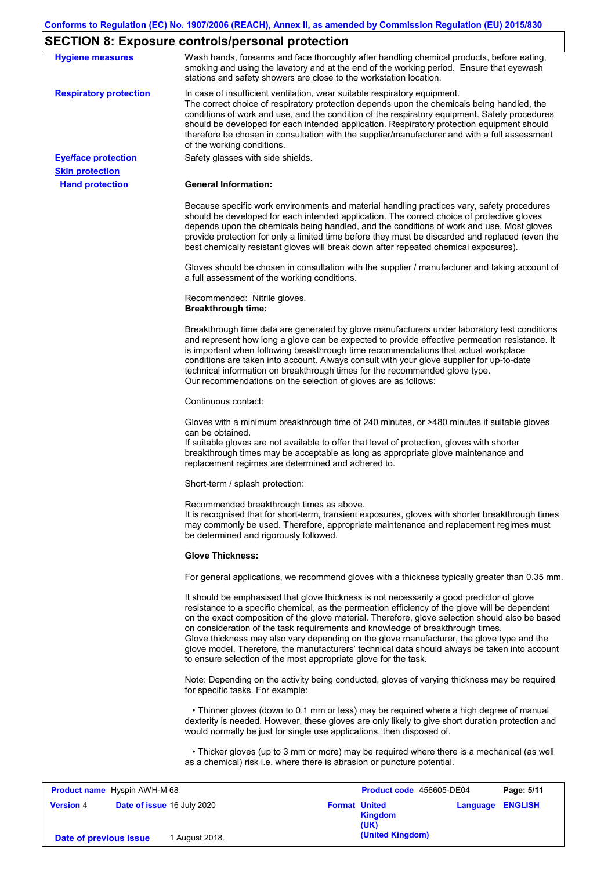## **SECTION 8: Exposure controls/personal protection**

| <b>Hygiene measures</b>             | Wash hands, forearms and face thoroughly after handling chemical products, before eating,<br>smoking and using the lavatory and at the end of the working period. Ensure that eyewash<br>stations and safety showers are close to the workstation location.                                                                                                                                                                                                                                                                                                                                                                                       |
|-------------------------------------|---------------------------------------------------------------------------------------------------------------------------------------------------------------------------------------------------------------------------------------------------------------------------------------------------------------------------------------------------------------------------------------------------------------------------------------------------------------------------------------------------------------------------------------------------------------------------------------------------------------------------------------------------|
| <b>Respiratory protection</b>       | In case of insufficient ventilation, wear suitable respiratory equipment.<br>The correct choice of respiratory protection depends upon the chemicals being handled, the<br>conditions of work and use, and the condition of the respiratory equipment. Safety procedures<br>should be developed for each intended application. Respiratory protection equipment should<br>therefore be chosen in consultation with the supplier/manufacturer and with a full assessment<br>of the working conditions.                                                                                                                                             |
| <b>Eye/face protection</b>          | Safety glasses with side shields.                                                                                                                                                                                                                                                                                                                                                                                                                                                                                                                                                                                                                 |
| <b>Skin protection</b>              |                                                                                                                                                                                                                                                                                                                                                                                                                                                                                                                                                                                                                                                   |
| <b>Hand protection</b>              | <b>General Information:</b>                                                                                                                                                                                                                                                                                                                                                                                                                                                                                                                                                                                                                       |
|                                     | Because specific work environments and material handling practices vary, safety procedures<br>should be developed for each intended application. The correct choice of protective gloves<br>depends upon the chemicals being handled, and the conditions of work and use. Most gloves<br>provide protection for only a limited time before they must be discarded and replaced (even the<br>best chemically resistant gloves will break down after repeated chemical exposures).                                                                                                                                                                  |
|                                     | Gloves should be chosen in consultation with the supplier / manufacturer and taking account of<br>a full assessment of the working conditions.                                                                                                                                                                                                                                                                                                                                                                                                                                                                                                    |
|                                     | Recommended: Nitrile gloves.<br><b>Breakthrough time:</b>                                                                                                                                                                                                                                                                                                                                                                                                                                                                                                                                                                                         |
|                                     | Breakthrough time data are generated by glove manufacturers under laboratory test conditions<br>and represent how long a glove can be expected to provide effective permeation resistance. It<br>is important when following breakthrough time recommendations that actual workplace<br>conditions are taken into account. Always consult with your glove supplier for up-to-date<br>technical information on breakthrough times for the recommended glove type.<br>Our recommendations on the selection of gloves are as follows:                                                                                                                |
|                                     | Continuous contact:                                                                                                                                                                                                                                                                                                                                                                                                                                                                                                                                                                                                                               |
|                                     | Gloves with a minimum breakthrough time of 240 minutes, or >480 minutes if suitable gloves<br>can be obtained.<br>If suitable gloves are not available to offer that level of protection, gloves with shorter<br>breakthrough times may be acceptable as long as appropriate glove maintenance and<br>replacement regimes are determined and adhered to.                                                                                                                                                                                                                                                                                          |
|                                     | Short-term / splash protection:                                                                                                                                                                                                                                                                                                                                                                                                                                                                                                                                                                                                                   |
|                                     | Recommended breakthrough times as above.<br>It is recognised that for short-term, transient exposures, gloves with shorter breakthrough times<br>may commonly be used. Therefore, appropriate maintenance and replacement regimes must<br>be determined and rigorously followed.                                                                                                                                                                                                                                                                                                                                                                  |
|                                     | <b>Glove Thickness:</b>                                                                                                                                                                                                                                                                                                                                                                                                                                                                                                                                                                                                                           |
|                                     | For general applications, we recommend gloves with a thickness typically greater than 0.35 mm.                                                                                                                                                                                                                                                                                                                                                                                                                                                                                                                                                    |
|                                     | It should be emphasised that glove thickness is not necessarily a good predictor of glove<br>resistance to a specific chemical, as the permeation efficiency of the glove will be dependent<br>on the exact composition of the glove material. Therefore, glove selection should also be based<br>on consideration of the task requirements and knowledge of breakthrough times.<br>Glove thickness may also vary depending on the glove manufacturer, the glove type and the<br>glove model. Therefore, the manufacturers' technical data should always be taken into account<br>to ensure selection of the most appropriate glove for the task. |
|                                     | Note: Depending on the activity being conducted, gloves of varying thickness may be required<br>for specific tasks. For example:                                                                                                                                                                                                                                                                                                                                                                                                                                                                                                                  |
|                                     | • Thinner gloves (down to 0.1 mm or less) may be required where a high degree of manual<br>dexterity is needed. However, these gloves are only likely to give short duration protection and<br>would normally be just for single use applications, then disposed of.                                                                                                                                                                                                                                                                                                                                                                              |
|                                     | • Thicker gloves (up to 3 mm or more) may be required where there is a mechanical (as well<br>as a chemical) risk i.e. where there is abrasion or puncture potential.                                                                                                                                                                                                                                                                                                                                                                                                                                                                             |
| <b>Product name</b> Hyspin AWH-M 68 | Page: 5/11<br>Product code 456605-DE04                                                                                                                                                                                                                                                                                                                                                                                                                                                                                                                                                                                                            |

| <b>Product name</b> Hyspin AWH-M 68 |                            | Product code 456605-DE04<br>Page: 5/11                                    |  |
|-------------------------------------|----------------------------|---------------------------------------------------------------------------|--|
| <b>Version 4</b>                    | Date of issue 16 July 2020 | <b>Format United</b><br><b>Language ENGLISH</b><br><b>Kingdom</b><br>(UK) |  |
| Date of previous issue              | 1 August 2018.             | (United Kingdom)                                                          |  |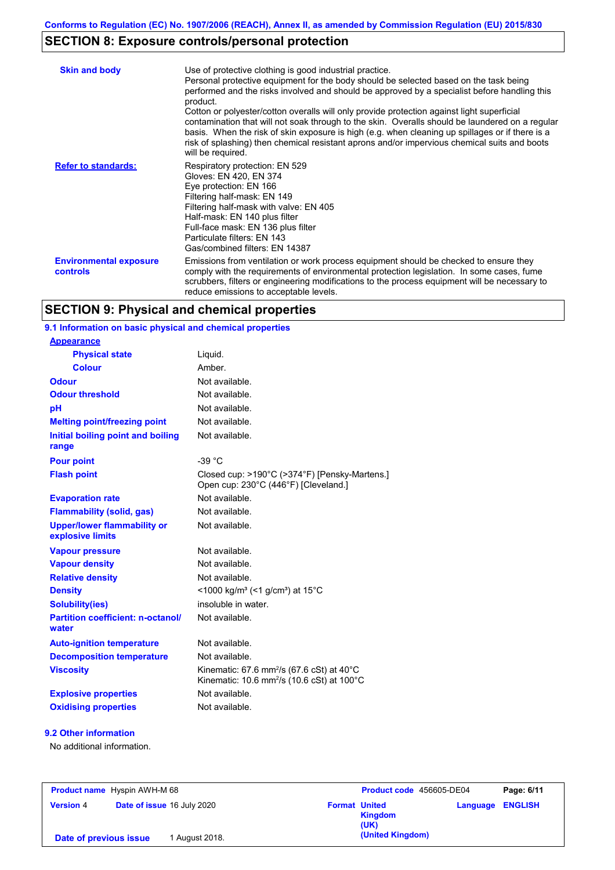## **SECTION 8: Exposure controls/personal protection**

| <b>Skin and body</b>                             | Use of protective clothing is good industrial practice.<br>Personal protective equipment for the body should be selected based on the task being<br>performed and the risks involved and should be approved by a specialist before handling this<br>product.<br>Cotton or polyester/cotton overalls will only provide protection against light superficial<br>contamination that will not soak through to the skin. Overalls should be laundered on a regular<br>basis. When the risk of skin exposure is high (e.g. when cleaning up spillages or if there is a<br>risk of splashing) then chemical resistant aprons and/or impervious chemical suits and boots<br>will be required. |
|--------------------------------------------------|---------------------------------------------------------------------------------------------------------------------------------------------------------------------------------------------------------------------------------------------------------------------------------------------------------------------------------------------------------------------------------------------------------------------------------------------------------------------------------------------------------------------------------------------------------------------------------------------------------------------------------------------------------------------------------------|
| <b>Refer to standards:</b>                       | Respiratory protection: EN 529<br>Gloves: EN 420, EN 374<br>Eye protection: EN 166<br>Filtering half-mask: EN 149<br>Filtering half-mask with valve: EN 405<br>Half-mask: EN 140 plus filter<br>Full-face mask: EN 136 plus filter<br>Particulate filters: EN 143<br>Gas/combined filters: EN 14387                                                                                                                                                                                                                                                                                                                                                                                   |
| <b>Environmental exposure</b><br><b>controls</b> | Emissions from ventilation or work process equipment should be checked to ensure they<br>comply with the requirements of environmental protection legislation. In some cases, fume<br>scrubbers, filters or engineering modifications to the process equipment will be necessary to<br>reduce emissions to acceptable levels.                                                                                                                                                                                                                                                                                                                                                         |

## **SECTION 9: Physical and chemical properties**

#### Not available. **Physical state Melting point/freezing point Initial boiling point and boiling range Vapour pressure Relative density Vapour density** Liquid. Not available. Not available. Not available. Not available. **Odour** Not available. **pH Colour** Amber. **Evaporation rate** Not available. **Auto-ignition temperature Flash point** Not available. Closed cup: >190°C (>374°F) [Pensky-Martens.] Open cup: 230°C (446°F) [Cleveland.] Not available. Not available. Not available. Not available. **Viscosity Kinematic: 67.6 mm<sup>2</sup>/s (67.6 cSt) at 40°C** Kinematic: 10.6 mm<sup>2</sup>/s (10.6 cSt) at 100°C **Odour threshold** Not available. **Partition coefficient: n-octanol/ water Upper/lower flammability or explosive limits Explosive properties Oxidising properties** Not available. **9.1 Information on basic physical and chemical properties Appearance Decomposition temperature** Not available. **Flammability (solid, gas)** Not available. **Pour point**  $-39 \degree C$ **Density** <1000 kg/m<sup>3</sup> (<1 g/cm<sup>3</sup>) at 15°C **Solubility(ies)** insoluble in water.

### **9.2 Other information**

No additional information.

| <b>Product name</b> Hyspin AWH-M 68 |                            | Product code 456605-DE04                       | Page: 6/11       |
|-------------------------------------|----------------------------|------------------------------------------------|------------------|
| <b>Version 4</b>                    | Date of issue 16 July 2020 | <b>Format United</b><br><b>Kingdom</b><br>(UK) | Language ENGLISH |
| Date of previous issue              | 1 August 2018.             | (United Kingdom)                               |                  |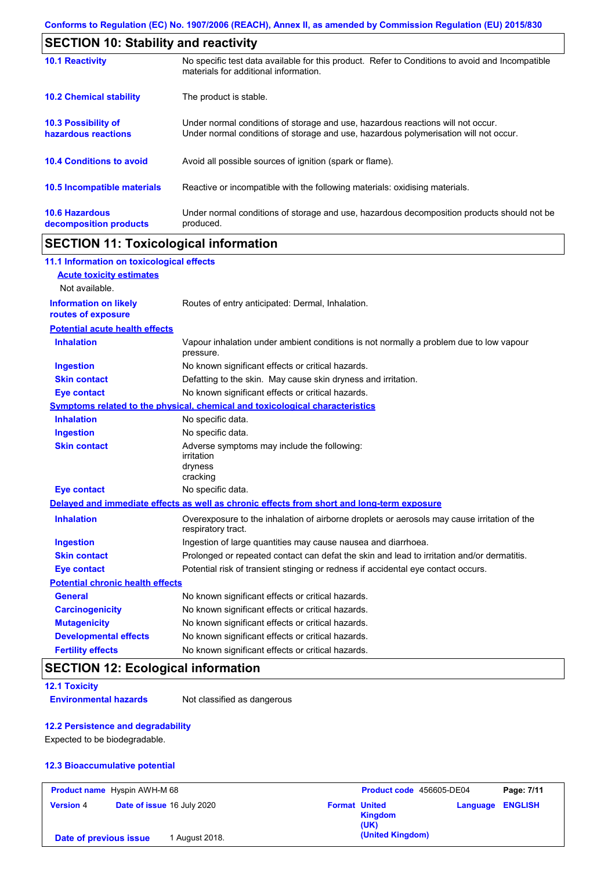| <b>SECTION 10: Stability and reactivity</b>       |                                                                                                                                                                         |  |  |
|---------------------------------------------------|-------------------------------------------------------------------------------------------------------------------------------------------------------------------------|--|--|
| <b>10.1 Reactivity</b>                            | No specific test data available for this product. Refer to Conditions to avoid and Incompatible<br>materials for additional information.                                |  |  |
| <b>10.2 Chemical stability</b>                    | The product is stable.                                                                                                                                                  |  |  |
| <b>10.3 Possibility of</b><br>hazardous reactions | Under normal conditions of storage and use, hazardous reactions will not occur.<br>Under normal conditions of storage and use, hazardous polymerisation will not occur. |  |  |
| <b>10.4 Conditions to avoid</b>                   | Avoid all possible sources of ignition (spark or flame).                                                                                                                |  |  |
| 10.5 Incompatible materials                       | Reactive or incompatible with the following materials: oxidising materials.                                                                                             |  |  |
| <b>10.6 Hazardous</b><br>decomposition products   | Under normal conditions of storage and use, hazardous decomposition products should not be<br>produced.                                                                 |  |  |

## **SECTION 11: Toxicological information**

| 11.1 Information on toxicological effects          |                                                                                                                   |
|----------------------------------------------------|-------------------------------------------------------------------------------------------------------------------|
| <b>Acute toxicity estimates</b>                    |                                                                                                                   |
| Not available.                                     |                                                                                                                   |
| <b>Information on likely</b><br>routes of exposure | Routes of entry anticipated: Dermal, Inhalation.                                                                  |
| <b>Potential acute health effects</b>              |                                                                                                                   |
| <b>Inhalation</b>                                  | Vapour inhalation under ambient conditions is not normally a problem due to low vapour<br>pressure.               |
| <b>Ingestion</b>                                   | No known significant effects or critical hazards.                                                                 |
| <b>Skin contact</b>                                | Defatting to the skin. May cause skin dryness and irritation.                                                     |
| <b>Eye contact</b>                                 | No known significant effects or critical hazards.                                                                 |
|                                                    | Symptoms related to the physical, chemical and toxicological characteristics                                      |
| <b>Inhalation</b>                                  | No specific data.                                                                                                 |
| <b>Ingestion</b>                                   | No specific data.                                                                                                 |
| <b>Skin contact</b>                                | Adverse symptoms may include the following:<br>irritation<br>dryness<br>cracking                                  |
| <b>Eye contact</b>                                 | No specific data.                                                                                                 |
|                                                    | Delayed and immediate effects as well as chronic effects from short and long-term exposure                        |
| <b>Inhalation</b>                                  | Overexposure to the inhalation of airborne droplets or aerosols may cause irritation of the<br>respiratory tract. |
| <b>Ingestion</b>                                   | Ingestion of large quantities may cause nausea and diarrhoea.                                                     |
| <b>Skin contact</b>                                | Prolonged or repeated contact can defat the skin and lead to irritation and/or dermatitis.                        |
| <b>Eye contact</b>                                 | Potential risk of transient stinging or redness if accidental eye contact occurs.                                 |
| <b>Potential chronic health effects</b>            |                                                                                                                   |
| <b>General</b>                                     | No known significant effects or critical hazards.                                                                 |
| <b>Carcinogenicity</b>                             | No known significant effects or critical hazards.                                                                 |
| <b>Mutagenicity</b>                                | No known significant effects or critical hazards.                                                                 |
| <b>Developmental effects</b>                       | No known significant effects or critical hazards.                                                                 |
| <b>Fertility effects</b>                           | No known significant effects or critical hazards.                                                                 |

## **SECTION 12: Ecological information**

**12.1 Toxicity**

**Environmental hazards** Not classified as dangerous

## **12.2 Persistence and degradability**

Expected to be biodegradable.

### **12.3 Bioaccumulative potential**

| <b>Product name</b> Hyspin AWH-M 68 |  |                            | Product code 456605-DE04 |                        | Page: 7/11              |  |
|-------------------------------------|--|----------------------------|--------------------------|------------------------|-------------------------|--|
| <b>Version 4</b>                    |  | Date of issue 16 July 2020 | <b>Format United</b>     | <b>Kingdom</b><br>(UK) | <b>Language ENGLISH</b> |  |
| Date of previous issue              |  | 1 August 2018.             |                          | (United Kingdom)       |                         |  |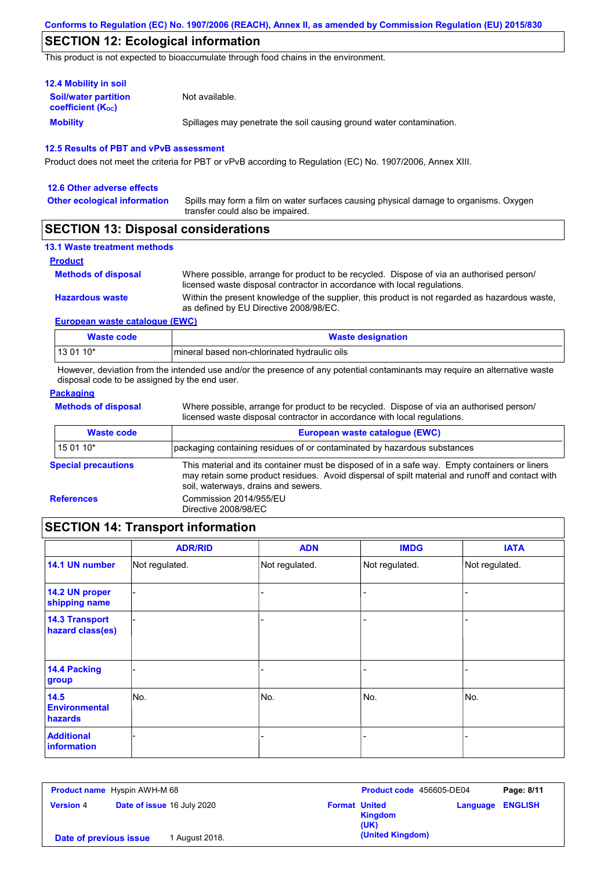## **SECTION 12: Ecological information**

This product is not expected to bioaccumulate through food chains in the environment.

| <b>12.4 Mobility in soil</b>                            |                                                                      |  |  |  |  |
|---------------------------------------------------------|----------------------------------------------------------------------|--|--|--|--|
| <b>Soil/water partition</b><br><b>coefficient (Koc)</b> | Not available.                                                       |  |  |  |  |
| <b>Mobility</b>                                         | Spillages may penetrate the soil causing ground water contamination. |  |  |  |  |

#### **12.5 Results of PBT and vPvB assessment**

Product does not meet the criteria for PBT or vPvB according to Regulation (EC) No. 1907/2006, Annex XIII.

| 12.6 Other adverse effects          |                                                                                                                           |
|-------------------------------------|---------------------------------------------------------------------------------------------------------------------------|
| <b>Other ecological information</b> | Spills may form a film on water surfaces causing physical damage to organisms. Oxygen<br>transfer could also be impaired. |

## **SECTION 13: Disposal considerations**

#### **13.1 Waste treatment methods**

#### **Product**

**Methods of disposal**

Within the present knowledge of the supplier, this product is not regarded as hazardous waste, as defined by EU Directive 2008/98/EC. Where possible, arrange for product to be recycled. Dispose of via an authorised person/ licensed waste disposal contractor in accordance with local regulations.

**European waste catalogue (EWC)**

| Waste code | <b>Waste designation</b>                      |  |  |  |
|------------|-----------------------------------------------|--|--|--|
| $130110*$  | Imineral based non-chlorinated hydraulic oils |  |  |  |

However, deviation from the intended use and/or the presence of any potential contaminants may require an alternative waste disposal code to be assigned by the end user.

### **Packaging**

**Methods of disposal**

**Hazardous waste**

Where possible, arrange for product to be recycled. Dispose of via an authorised person/ licensed waste disposal contractor in accordance with local regulations.

| Waste code                 | European waste catalogue (EWC)                                                                                                                                                                                                          |  |  |  |
|----------------------------|-----------------------------------------------------------------------------------------------------------------------------------------------------------------------------------------------------------------------------------------|--|--|--|
| 15 01 10*                  | packaging containing residues of or contaminated by hazardous substances                                                                                                                                                                |  |  |  |
| <b>Special precautions</b> | This material and its container must be disposed of in a safe way. Empty containers or liners<br>may retain some product residues. Avoid dispersal of spilt material and runoff and contact with<br>soil, waterways, drains and sewers. |  |  |  |
| <b>References</b>          | Commission 2014/955/EU<br>Directive 2008/98/EC                                                                                                                                                                                          |  |  |  |

## **SECTION 14: Transport information**

|                                           | <b>ADR/RID</b> | <b>ADN</b>     | <b>IMDG</b>    | <b>IATA</b>    |
|-------------------------------------------|----------------|----------------|----------------|----------------|
| 14.1 UN number                            | Not regulated. | Not regulated. | Not regulated. | Not regulated. |
| 14.2 UN proper<br>shipping name           |                |                |                |                |
| <b>14.3 Transport</b><br>hazard class(es) |                |                |                |                |
| <b>14.4 Packing</b><br>group              |                |                |                |                |
| 14.5<br><b>Environmental</b><br>hazards   | No.            | No.            | No.            | No.            |
| <b>Additional</b><br>information          |                |                | -              |                |

| <b>Product name</b> Hyspin AWH-M 68 |                                   |                | <b>Product code</b> 456605-DE04 |                        | Page: 8/11              |  |
|-------------------------------------|-----------------------------------|----------------|---------------------------------|------------------------|-------------------------|--|
| <b>Version 4</b>                    | <b>Date of issue 16 July 2020</b> |                | <b>Format United</b>            | <b>Kingdom</b><br>(UK) | <b>Language ENGLISH</b> |  |
| Date of previous issue              |                                   | 1 August 2018. |                                 | (United Kingdom)       |                         |  |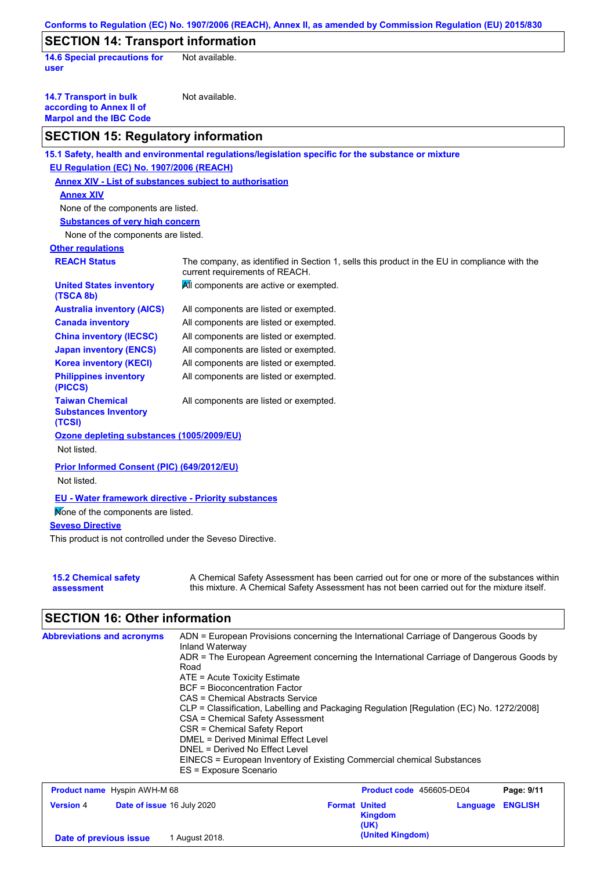| Conforms to Regulation (EC) No. 1907/2006 (REACH), Annex II, as amended by Commission Regulation (EU) 2015/830 |                                                                                                                                                                                           |  |  |  |
|----------------------------------------------------------------------------------------------------------------|-------------------------------------------------------------------------------------------------------------------------------------------------------------------------------------------|--|--|--|
| <b>SECTION 14: Transport information</b>                                                                       |                                                                                                                                                                                           |  |  |  |
| <b>14.6 Special precautions for</b><br>user                                                                    | Not available.                                                                                                                                                                            |  |  |  |
| <b>14.7 Transport in bulk</b><br>according to Annex II of<br><b>Marpol and the IBC Code</b>                    | Not available.                                                                                                                                                                            |  |  |  |
| <b>SECTION 15: Regulatory information</b>                                                                      |                                                                                                                                                                                           |  |  |  |
|                                                                                                                | 15.1 Safety, health and environmental regulations/legislation specific for the substance or mixture                                                                                       |  |  |  |
| EU Regulation (EC) No. 1907/2006 (REACH)                                                                       |                                                                                                                                                                                           |  |  |  |
|                                                                                                                | <b>Annex XIV - List of substances subject to authorisation</b>                                                                                                                            |  |  |  |
| <b>Annex XIV</b>                                                                                               |                                                                                                                                                                                           |  |  |  |
| None of the components are listed.                                                                             |                                                                                                                                                                                           |  |  |  |
| <b>Substances of very high concern</b>                                                                         |                                                                                                                                                                                           |  |  |  |
| None of the components are listed.                                                                             |                                                                                                                                                                                           |  |  |  |
| <b>Other regulations</b>                                                                                       |                                                                                                                                                                                           |  |  |  |
| <b>REACH Status</b>                                                                                            | The company, as identified in Section 1, sells this product in the EU in compliance with the<br>current requirements of REACH.                                                            |  |  |  |
| <b>United States inventory</b><br>(TSCA 8b)                                                                    | All components are active or exempted.                                                                                                                                                    |  |  |  |
| <b>Australia inventory (AICS)</b>                                                                              | All components are listed or exempted.                                                                                                                                                    |  |  |  |
| <b>Canada inventory</b>                                                                                        | All components are listed or exempted.                                                                                                                                                    |  |  |  |
| <b>China inventory (IECSC)</b>                                                                                 | All components are listed or exempted.                                                                                                                                                    |  |  |  |
| <b>Japan inventory (ENCS)</b>                                                                                  | All components are listed or exempted.                                                                                                                                                    |  |  |  |
| <b>Korea inventory (KECI)</b>                                                                                  | All components are listed or exempted.                                                                                                                                                    |  |  |  |
| <b>Philippines inventory</b><br>(PICCS)                                                                        | All components are listed or exempted.                                                                                                                                                    |  |  |  |
| <b>Taiwan Chemical</b><br><b>Substances Inventory</b><br>(TCSI)                                                | All components are listed or exempted.                                                                                                                                                    |  |  |  |
| Ozone depleting substances (1005/2009/EU)                                                                      |                                                                                                                                                                                           |  |  |  |
| Not listed.                                                                                                    |                                                                                                                                                                                           |  |  |  |
| Prior Informed Consent (PIC) (649/2012/EU)                                                                     |                                                                                                                                                                                           |  |  |  |
| Not listed.                                                                                                    |                                                                                                                                                                                           |  |  |  |
|                                                                                                                |                                                                                                                                                                                           |  |  |  |
| <b>EU - Water framework directive - Priority substances</b>                                                    |                                                                                                                                                                                           |  |  |  |
| Mone of the components are listed.                                                                             |                                                                                                                                                                                           |  |  |  |
| <b>Seveso Directive</b>                                                                                        |                                                                                                                                                                                           |  |  |  |
| This product is not controlled under the Seveso Directive.                                                     |                                                                                                                                                                                           |  |  |  |
| <b>15.2 Chemical safety</b><br>assessment                                                                      | A Chemical Safety Assessment has been carried out for one or more of the substances within<br>this mixture. A Chemical Safety Assessment has not been carried out for the mixture itself. |  |  |  |
| <b>SECTION 16: Other information</b>                                                                           |                                                                                                                                                                                           |  |  |  |
| <b>Abbreviations and acronyms</b>                                                                              | ADN = European Provisions concerning the International Carriage of Dangerous Goods by                                                                                                     |  |  |  |
|                                                                                                                | Inland Waterway                                                                                                                                                                           |  |  |  |

| Road<br>$ATE = Acute Toxicity Estimate$<br>BCF = Bioconcentration Factor<br>CAS = Chemical Abstracts Service<br>CSA = Chemical Safety Assessment<br>CSR = Chemical Safety Report<br>DMEL = Derived Minimal Effect Level<br>DNEL = Derived No Effect Level<br>ES = Exposure Scenario | ADR = The European Agreement concerning the International Carriage of Dangerous Goods by<br>CLP = Classification, Labelling and Packaging Regulation [Regulation (EC) No. 1272/2008]<br>EINECS = European Inventory of Existing Commercial chemical Substances |
|-------------------------------------------------------------------------------------------------------------------------------------------------------------------------------------------------------------------------------------------------------------------------------------|----------------------------------------------------------------------------------------------------------------------------------------------------------------------------------------------------------------------------------------------------------------|
| <b>Product name</b> Hyspin AWH-M 68                                                                                                                                                                                                                                                 | Page: 9/11<br><b>Product code</b> 456605-DE04                                                                                                                                                                                                                  |

| <b>Product name</b> Hyspin AWH-M 68 |                            |                |                      | Product code 456605-DE04 |                         | Page: 9/11 |
|-------------------------------------|----------------------------|----------------|----------------------|--------------------------|-------------------------|------------|
| <b>Version 4</b>                    | Date of issue 16 July 2020 |                | <b>Format United</b> | <b>Kingdom</b><br>(UK)   | <b>Language ENGLISH</b> |            |
| Date of previous issue              |                            | 1 August 2018. |                      | (United Kingdom)         |                         |            |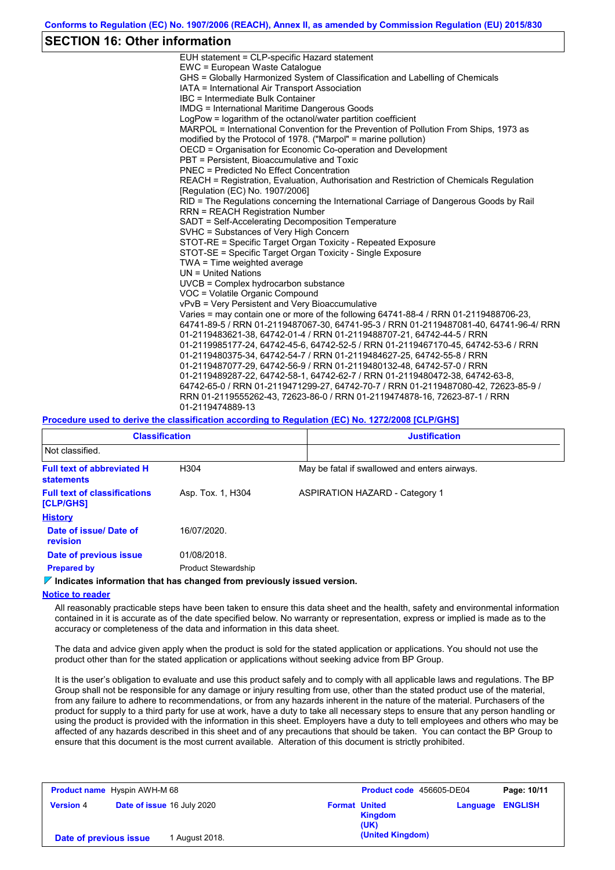## **SECTION 16: Other information**

| EUH statement = CLP-specific Hazard statement                                           |
|-----------------------------------------------------------------------------------------|
| EWC = European Waste Catalogue                                                          |
| GHS = Globally Harmonized System of Classification and Labelling of Chemicals           |
| IATA = International Air Transport Association                                          |
| IBC = Intermediate Bulk Container                                                       |
| <b>IMDG = International Maritime Dangerous Goods</b>                                    |
| LogPow = logarithm of the octanol/water partition coefficient                           |
| MARPOL = International Convention for the Prevention of Pollution From Ships, 1973 as   |
| modified by the Protocol of 1978. ("Marpol" = marine pollution)                         |
| OECD = Organisation for Economic Co-operation and Development                           |
| PBT = Persistent. Bioaccumulative and Toxic                                             |
| <b>PNEC = Predicted No Effect Concentration</b>                                         |
| REACH = Registration, Evaluation, Authorisation and Restriction of Chemicals Regulation |
| [Regulation (EC) No. 1907/2006]                                                         |
| RID = The Regulations concerning the International Carriage of Dangerous Goods by Rail  |
| <b>RRN = REACH Registration Number</b>                                                  |
| SADT = Self-Accelerating Decomposition Temperature                                      |
| SVHC = Substances of Very High Concern                                                  |
| STOT-RE = Specific Target Organ Toxicity - Repeated Exposure                            |
| STOT-SE = Specific Target Organ Toxicity - Single Exposure                              |
| TWA = Time weighted average                                                             |
| $UN = United Nations$                                                                   |
| $UVCB = Complex\;hydrocarbon\; substance$                                               |
| VOC = Volatile Organic Compound                                                         |
| vPvB = Very Persistent and Very Bioaccumulative                                         |
| Varies = may contain one or more of the following 64741-88-4 / RRN 01-2119488706-23,    |
| 64741-89-5 / RRN 01-2119487067-30, 64741-95-3 / RRN 01-2119487081-40, 64741-96-4/ RRN   |
| 01-2119483621-38, 64742-01-4 / RRN 01-2119488707-21, 64742-44-5 / RRN                   |
| 01-2119985177-24, 64742-45-6, 64742-52-5 / RRN 01-2119467170-45, 64742-53-6 / RRN       |
| 01-2119480375-34, 64742-54-7 / RRN 01-2119484627-25, 64742-55-8 / RRN                   |
| 01-2119487077-29, 64742-56-9 / RRN 01-2119480132-48, 64742-57-0 / RRN                   |
| 01-2119489287-22, 64742-58-1, 64742-62-7 / RRN 01-2119480472-38, 64742-63-8,            |
| 64742-65-0 / RRN 01-2119471299-27, 64742-70-7 / RRN 01-2119487080-42, 72623-85-9 /      |
| RRN 01-2119555262-43, 72623-86-0 / RRN 01-2119474878-16, 72623-87-1 / RRN               |
| 01-2119474889-13                                                                        |
|                                                                                         |

#### **Procedure used to derive the classification according to Regulation (EC) No. 1272/2008 [CLP/GHS]**

| <b>Classification</b>                                                      |                            |                                               | <b>Justification</b>                  |  |
|----------------------------------------------------------------------------|----------------------------|-----------------------------------------------|---------------------------------------|--|
| Not classified.                                                            |                            |                                               |                                       |  |
| <b>Full text of abbreviated H</b><br>H <sub>304</sub><br><b>statements</b> |                            | May be fatal if swallowed and enters airways. |                                       |  |
| <b>Full text of classifications</b><br>[CLP/GHS]                           | Asp. Tox. 1, H304          |                                               | <b>ASPIRATION HAZARD - Category 1</b> |  |
| <b>History</b>                                                             |                            |                                               |                                       |  |
| Date of issue/Date of<br>revision                                          | 16/07/2020.                |                                               |                                       |  |
| Date of previous issue                                                     | 01/08/2018.                |                                               |                                       |  |
| <b>Prepared by</b>                                                         | <b>Product Stewardship</b> |                                               |                                       |  |

### *I***</del> Indicates information that has changed from previously issued version.**

### **Notice to reader**

All reasonably practicable steps have been taken to ensure this data sheet and the health, safety and environmental information contained in it is accurate as of the date specified below. No warranty or representation, express or implied is made as to the accuracy or completeness of the data and information in this data sheet.

The data and advice given apply when the product is sold for the stated application or applications. You should not use the product other than for the stated application or applications without seeking advice from BP Group.

It is the user's obligation to evaluate and use this product safely and to comply with all applicable laws and regulations. The BP Group shall not be responsible for any damage or injury resulting from use, other than the stated product use of the material, from any failure to adhere to recommendations, or from any hazards inherent in the nature of the material. Purchasers of the product for supply to a third party for use at work, have a duty to take all necessary steps to ensure that any person handling or using the product is provided with the information in this sheet. Employers have a duty to tell employees and others who may be affected of any hazards described in this sheet and of any precautions that should be taken. You can contact the BP Group to ensure that this document is the most current available. Alteration of this document is strictly prohibited.

| <b>Product name</b> Hyspin AWH-M 68 |                                   |                | Product code 456605-DE04 |                        | Page: 10/11             |  |
|-------------------------------------|-----------------------------------|----------------|--------------------------|------------------------|-------------------------|--|
| <b>Version 4</b>                    | <b>Date of issue 16 July 2020</b> |                | <b>Format United</b>     | <b>Kingdom</b><br>(UK) | <b>Language ENGLISH</b> |  |
| Date of previous issue              |                                   | 1 August 2018. |                          | (United Kingdom)       |                         |  |